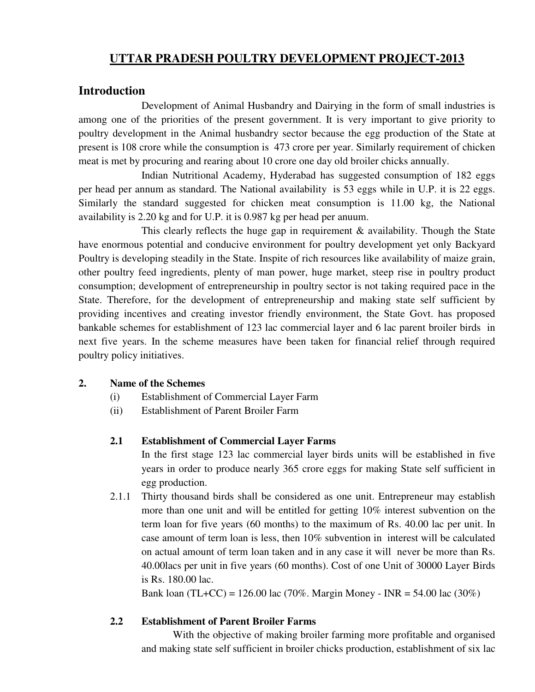# **UTTAR PRADESH POULTRY DEVELOPMENT PROJECT-2013**

### **Introduction**

 Development of Animal Husbandry and Dairying in the form of small industries is among one of the priorities of the present government. It is very important to give priority to poultry development in the Animal husbandry sector because the egg production of the State at present is 108 crore while the consumption is 473 crore per year. Similarly requirement of chicken meat is met by procuring and rearing about 10 crore one day old broiler chicks annually.

 Indian Nutritional Academy, Hyderabad has suggested consumption of 182 eggs per head per annum as standard. The National availability is 53 eggs while in U.P. it is 22 eggs. Similarly the standard suggested for chicken meat consumption is 11.00 kg, the National availability is 2.20 kg and for U.P. it is 0.987 kg per head per anuum.

This clearly reflects the huge gap in requirement  $\&$  availability. Though the State have enormous potential and conducive environment for poultry development yet only Backyard Poultry is developing steadily in the State. Inspite of rich resources like availability of maize grain, other poultry feed ingredients, plenty of man power, huge market, steep rise in poultry product consumption; development of entrepreneurship in poultry sector is not taking required pace in the State. Therefore, for the development of entrepreneurship and making state self sufficient by providing incentives and creating investor friendly environment, the State Govt. has proposed bankable schemes for establishment of 123 lac commercial layer and 6 lac parent broiler birds in next five years. In the scheme measures have been taken for financial relief through required poultry policy initiatives.

#### **2. Name of the Schemes**

- (i) Establishment of Commercial Layer Farm
- (ii) Establishment of Parent Broiler Farm

#### **2.1 Establishment of Commercial Layer Farms**

 In the first stage 123 lac commercial layer birds units will be established in five years in order to produce nearly 365 crore eggs for making State self sufficient in egg production.

2.1.1 Thirty thousand birds shall be considered as one unit. Entrepreneur may establish more than one unit and will be entitled for getting 10% interest subvention on the term loan for five years (60 months) to the maximum of Rs. 40.00 lac per unit. In case amount of term loan is less, then 10% subvention in interest will be calculated on actual amount of term loan taken and in any case it will never be more than Rs. 40.00lacs per unit in five years (60 months). Cost of one Unit of 30000 Layer Birds is Rs. 180.00 lac.

Bank loan (TL+CC) = 126.00 lac (70%. Margin Money - INR = 54.00 lac (30%)

#### **2.2 Establishment of Parent Broiler Farms**

 With the objective of making broiler farming more profitable and organised and making state self sufficient in broiler chicks production, establishment of six lac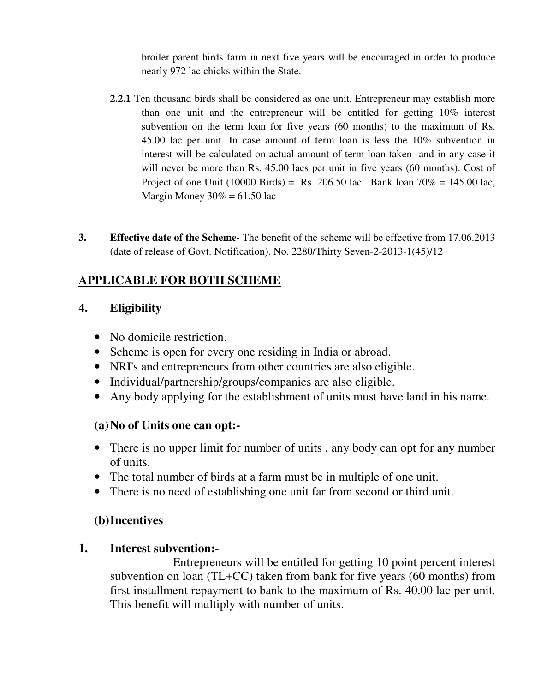broiler parent birds farm in next five years will be encouraged in order to produce nearly 972 lac chicks within the State.

- **2.2.1** Ten thousand birds shall be considered as one unit. Entrepreneur may establish more than one unit and the entrepreneur will be entitled for getting 10% interest subvention on the term loan for five years (60 months) to the maximum of Rs. 45.00 lac per unit. In case amount of term loan is less the 10% subvention in interest will be calculated on actual amount of term loan taken and in any case it will never be more than Rs. 45.00 lacs per unit in five years (60 months). Cost of Project of one Unit (10000 Birds) = Rs. 206.50 lac. Bank loan  $70\% = 145.00$  lac, Margin Money  $30\% = 61.50$  lac
- **3. Effective date of the Scheme-** The benefit of the scheme will be effective from 17.06.2013 (date of release of Govt. Notification). No. 2280/Thirty Seven-2-2013-1(45)/12

# **APPLICABLE FOR BOTH SCHEME**

# **4. Eligibility**

- No domicile restriction.
- Scheme is open for every one residing in India or abroad.
- NRI's and entrepreneurs from other countries are also eligible.
- Individual/partnership/groups/companies are also eligible.
- Any body applying for the establishment of units must have land in his name.

# **(a)No of Units one can opt:-**

- There is no upper limit for number of units, any body can opt for any number of units.
- The total number of birds at a farm must be in multiple of one unit.
- There is no need of establishing one unit far from second or third unit.

# **(b)Incentives**

# **1. Interest subvention:-**

Entrepreneurs will be entitled for getting 10 point percent interest subvention on loan (TL+CC) taken from bank for five years (60 months) from first installment repayment to bank to the maximum of Rs. 40.00 lac per unit. This benefit will multiply with number of units.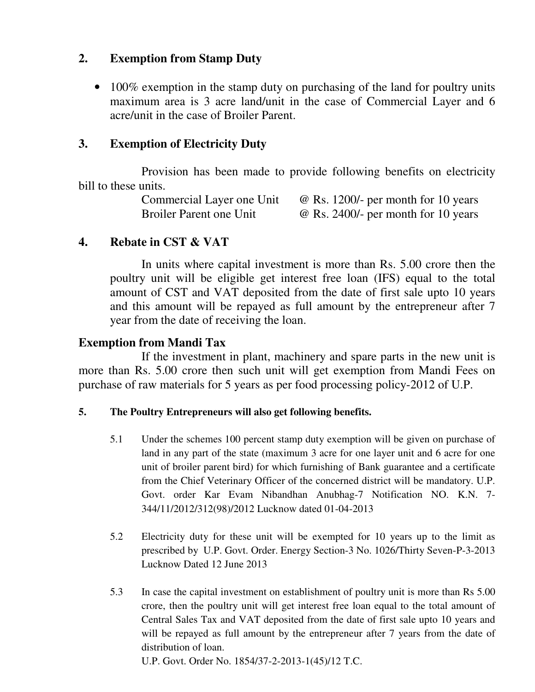# **2. Exemption from Stamp Duty**

• 100% exemption in the stamp duty on purchasing of the land for poultry units maximum area is 3 acre land/unit in the case of Commercial Layer and 6 acre/unit in the case of Broiler Parent.

# **3. Exemption of Electricity Duty**

Provision has been made to provide following benefits on electricity bill to these units.

> Commercial Layer one Unit  $\quad \omega$  Rs. 1200/- per month for 10 years Broiler Parent one Unit  $\omega$  Rs. 2400/- per month for 10 years

#### **4. Rebate in CST & VAT**

In units where capital investment is more than Rs. 5.00 crore then the poultry unit will be eligible get interest free loan (IFS) equal to the total amount of CST and VAT deposited from the date of first sale upto 10 years and this amount will be repayed as full amount by the entrepreneur after 7 year from the date of receiving the loan.

# **Exemption from Mandi Tax**

 If the investment in plant, machinery and spare parts in the new unit is more than Rs. 5.00 crore then such unit will get exemption from Mandi Fees on purchase of raw materials for 5 years as per food processing policy-2012 of U.P.

### **5. The Poultry Entrepreneurs will also get following benefits.**

- 5.1 Under the schemes 100 percent stamp duty exemption will be given on purchase of land in any part of the state (maximum 3 acre for one layer unit and 6 acre for one unit of broiler parent bird) for which furnishing of Bank guarantee and a certificate from the Chief Veterinary Officer of the concerned district will be mandatory. U.P. Govt. order Kar Evam Nibandhan Anubhag-7 Notification NO. K.N. 7- 344/11/2012/312(98)/2012 Lucknow dated 01-04-2013
- 5.2 Electricity duty for these unit will be exempted for 10 years up to the limit as prescribed by U.P. Govt. Order. Energy Section-3 No. 1026/Thirty Seven-P-3-2013 Lucknow Dated 12 June 2013
- 5.3 In case the capital investment on establishment of poultry unit is more than Rs 5.00 crore, then the poultry unit will get interest free loan equal to the total amount of Central Sales Tax and VAT deposited from the date of first sale upto 10 years and will be repayed as full amount by the entrepreneur after 7 years from the date of distribution of loan.

U.P. Govt. Order No. 1854/37-2-2013-1(45)/12 T.C.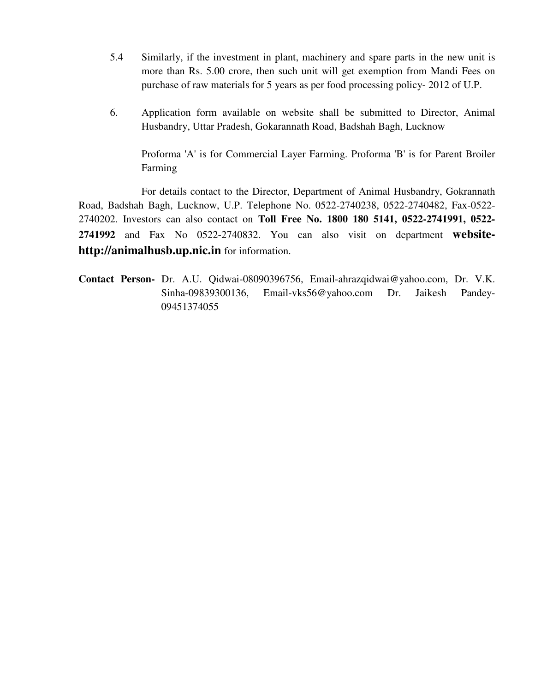- 5.4 Similarly, if the investment in plant, machinery and spare parts in the new unit is more than Rs. 5.00 crore, then such unit will get exemption from Mandi Fees on purchase of raw materials for 5 years as per food processing policy- 2012 of U.P.
- 6. Application form available on website shall be submitted to Director, Animal Husbandry, Uttar Pradesh, Gokarannath Road, Badshah Bagh, Lucknow

 Proforma 'A' is for Commercial Layer Farming. Proforma 'B' is for Parent Broiler Farming

 For details contact to the Director, Department of Animal Husbandry, Gokrannath Road, Badshah Bagh, Lucknow, U.P. Telephone No. 0522-2740238, 0522-2740482, Fax-0522- 2740202. Investors can also contact on **Toll Free No. 1800 180 5141, 0522-2741991, 0522- 2741992** and Fax No 0522-2740832. You can also visit on department **websitehttp://animalhusb.up.nic.in** for information.

**Contact Person-** Dr. A.U. Qidwai-08090396756, Email-ahrazqidwai@yahoo.com, Dr. V.K. Sinha-09839300136, Email-vks56@yahoo.com Dr. Jaikesh Pandey-09451374055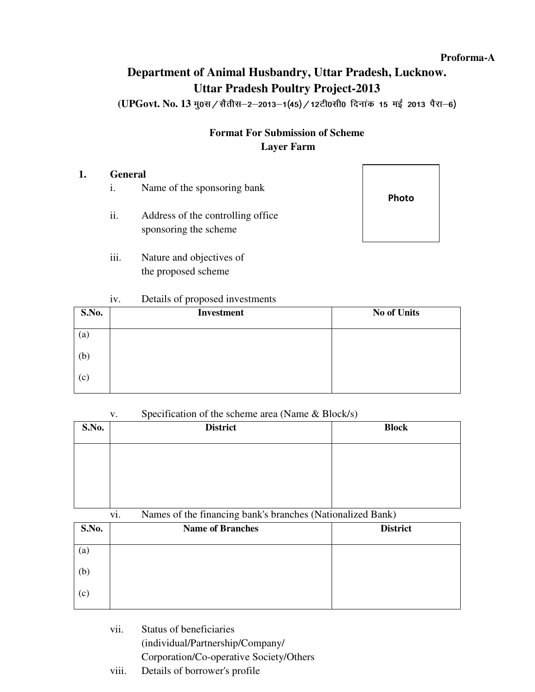#### **Proforma-A**

# **Department of Animal Husbandry, Uttar Pradesh, Lucknow. Uttar Pradesh Poultry Project-2013**

(UPGovt. No. 13 मु०स / सैतीस-2-2013-1(45) / 12टी0सी0 दिनांक 15 मई 2013 पैरा-6)

# **Format For Submission of Scheme Layer Farm**

#### **1. General**

- i. Name of the sponsoring bank
- ii. Address of the controlling office sponsoring the scheme
- iii. Nature and objectives of the proposed scheme

# Photo

#### iv. Details of proposed investments

| S.No.             | <b>Investment</b> | <b>No of Units</b> |
|-------------------|-------------------|--------------------|
| $\left( a\right)$ |                   |                    |
| (b)               |                   |                    |
| (c)               |                   |                    |

#### v. Specification of the scheme area (Name & Block/s)

| S.No. | <b>District</b> | <b>Block</b> |
|-------|-----------------|--------------|
|       |                 |              |
|       |                 |              |
|       |                 |              |

#### vi. Names of the financing bank's branches (Nationalized Bank)

| S.No. | <b>Name of Branches</b> | <b>District</b> |
|-------|-------------------------|-----------------|
| (a)   |                         |                 |
| (b)   |                         |                 |
| (c)   |                         |                 |

 vii. Status of beneficiaries (individual/Partnership/Company/ Corporation/Co-operative Society/Others viii. Details of borrower's profile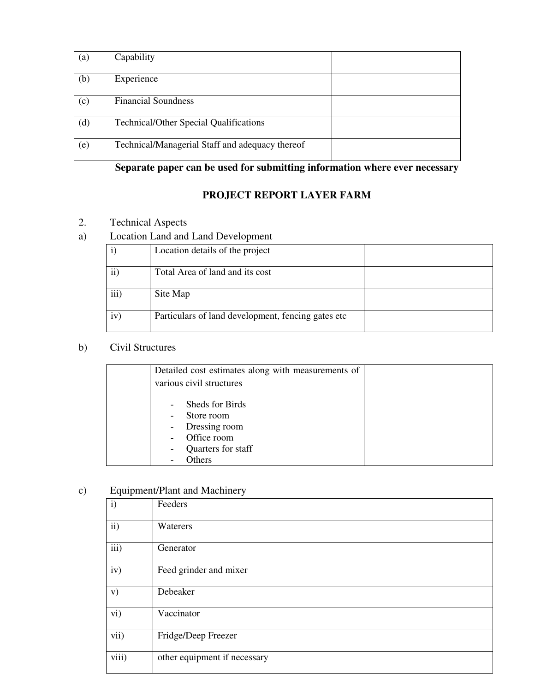| $\left( \text{a}\right)$ | Capability                                      |  |
|--------------------------|-------------------------------------------------|--|
| (b)                      | Experience                                      |  |
| (c)                      | <b>Financial Soundness</b>                      |  |
| (d)                      | <b>Technical/Other Special Qualifications</b>   |  |
| (e)                      | Technical/Managerial Staff and adequacy thereof |  |

# **Separate paper can be used for submitting information where ever necessary**

# **PROJECT REPORT LAYER FARM**

# 2. Technical Aspects

### a) Location Land and Land Development

|               | Location details of the project                     |  |
|---------------|-----------------------------------------------------|--|
| $\mathbf{ii}$ | Total Area of land and its cost                     |  |
| iii)          | Site Map                                            |  |
| iv)           | Particulars of land development, fencing gates etc. |  |

# b) Civil Structures

|   | Detailed cost estimates along with measurements of<br>various civil structures                |
|---|-----------------------------------------------------------------------------------------------|
| - | Sheds for Birds<br>Store room<br>Dressing room<br>Office room<br>Quarters for staff<br>Others |

### c) Equipment/Plant and Machinery

| $\mathbf{i}$  | Feeders                      |  |
|---------------|------------------------------|--|
| $\mathbf{ii}$ | Waterers                     |  |
| iii)          | Generator                    |  |
| iv)           | Feed grinder and mixer       |  |
| V)            | Debeaker                     |  |
| vi)           | Vaccinator                   |  |
| vii)          | Fridge/Deep Freezer          |  |
| viii)         | other equipment if necessary |  |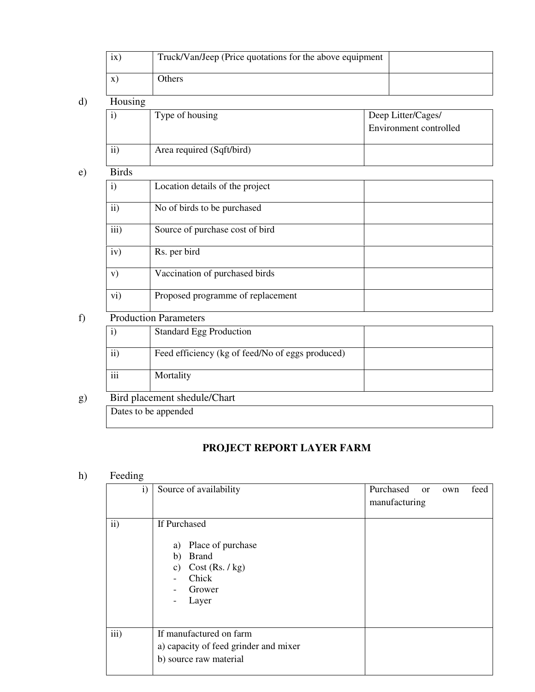|               | ix)                          | Truck/Van/Jeep (Price quotations for the above equipment |  |                                              |  |  |
|---------------|------------------------------|----------------------------------------------------------|--|----------------------------------------------|--|--|
|               | $\mathbf{x})$                | Others                                                   |  |                                              |  |  |
| $\mathbf{d}$  |                              | Housing                                                  |  |                                              |  |  |
|               | i)                           | Type of housing                                          |  | Deep Litter/Cages/<br>Environment controlled |  |  |
|               | $\mathbf{ii}$                | Area required (Sqft/bird)                                |  |                                              |  |  |
| $\mathbf{e})$ | <b>Birds</b>                 |                                                          |  |                                              |  |  |
|               | $\mathbf{i}$                 | Location details of the project                          |  |                                              |  |  |
|               | $\mathbf{ii}$                | No of birds to be purchased                              |  |                                              |  |  |
|               | iii)                         | Source of purchase cost of bird                          |  |                                              |  |  |
|               | iv)                          | Rs. per bird                                             |  |                                              |  |  |
|               | V)                           | Vaccination of purchased birds                           |  |                                              |  |  |
|               | vi)                          | Proposed programme of replacement                        |  |                                              |  |  |
| f             | <b>Production Parameters</b> |                                                          |  |                                              |  |  |
|               | $\mathbf{i}$                 | <b>Standard Egg Production</b>                           |  |                                              |  |  |

|                 | Standard Egg Production                          |  |
|-----------------|--------------------------------------------------|--|
| $\cdots$<br>11  | Feed efficiency (kg of feed/No of eggs produced) |  |
| $\cdots$<br>111 | Mortality                                        |  |

g) Bird placement shedule/Chart

Dates to be appended

# **PROJECT REPORT LAYER FARM**

# h) Feeding

| $\mathbf{i}$  | Source of availability                                                                                                                         | Purchased<br>feed<br><sub>or</sub><br>own<br>manufacturing |
|---------------|------------------------------------------------------------------------------------------------------------------------------------------------|------------------------------------------------------------|
| $\mathbf{ii}$ | If Purchased<br>Place of purchase<br>a)<br><b>Brand</b><br>b)<br>Cost (Rs. / kg)<br>C)<br>Chick<br>$\overline{\phantom{0}}$<br>Grower<br>Layer |                                                            |
| iii)          | If manufactured on farm<br>a) capacity of feed grinder and mixer<br>b) source raw material                                                     |                                                            |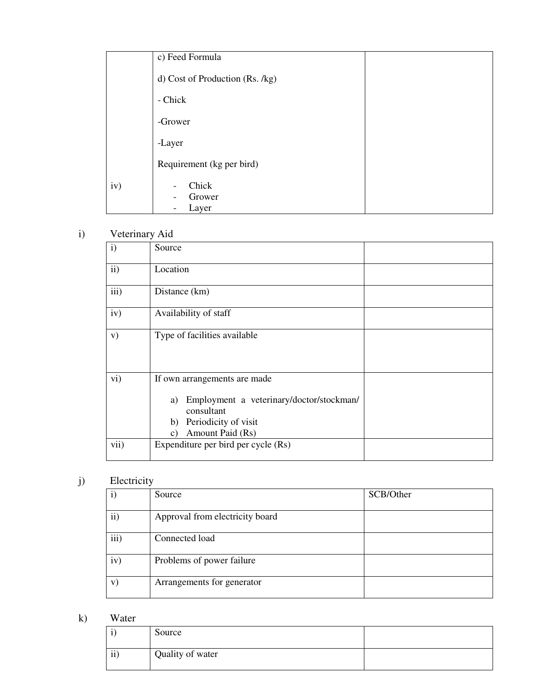|     | c) Feed Formula                                      |  |
|-----|------------------------------------------------------|--|
|     | d) Cost of Production (Rs. /kg)                      |  |
|     | - Chick                                              |  |
|     | -Grower                                              |  |
|     | -Layer                                               |  |
|     | Requirement (kg per bird)                            |  |
| iv) | Chick<br>$\overline{a}$<br>Grower<br>۰<br>Layer<br>- |  |

# i) Veterinary Aid

| $\mathbf{i}$  | Source                                                                                                                                               |  |
|---------------|------------------------------------------------------------------------------------------------------------------------------------------------------|--|
| $\mathbf{ii}$ | Location                                                                                                                                             |  |
| iii)          | Distance (km)                                                                                                                                        |  |
| iv)           | Availability of staff                                                                                                                                |  |
| V)            | Type of facilities available                                                                                                                         |  |
| $\rm vi)$     | If own arrangements are made<br>Employment a veterinary/doctor/stockman/<br>a)<br>consultant<br>Periodicity of visit<br>b)<br>Amount Paid (Rs)<br>c) |  |
| vii)          | Expenditure per bird per cycle (Rs)                                                                                                                  |  |

# j) Electricity

|           | Source                          | SCB/Other |
|-----------|---------------------------------|-----------|
| $\rm ii)$ | Approval from electricity board |           |
| iii)      | Connected load                  |           |
| iv)       | Problems of power failure       |           |
| V)        | Arrangements for generator      |           |

k) Water

| , , <b></b>    |                  |  |
|----------------|------------------|--|
|                | Source           |  |
| $\cdots$<br>11 | Quality of water |  |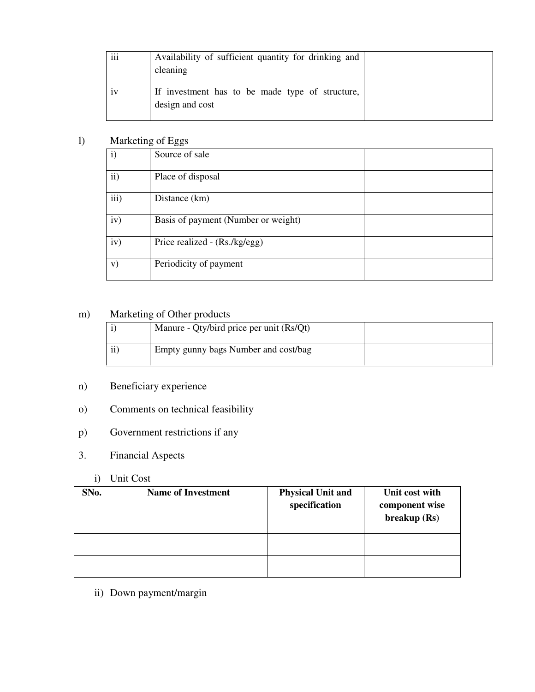| $\cdots$<br>111 | Availability of sufficient quantity for drinking and<br>cleaning   |  |
|-----------------|--------------------------------------------------------------------|--|
| 1V              | If investment has to be made type of structure,<br>design and cost |  |

### l) Marketing of Eggs

|               | --0 -- -00-                         |  |
|---------------|-------------------------------------|--|
| $\mathbf{i}$  | Source of sale                      |  |
| $\mathbf{ii}$ | Place of disposal                   |  |
| iii)          | Distance (km)                       |  |
| iv)           | Basis of payment (Number or weight) |  |
| iv)           | Price realized - (Rs./kg/egg)       |  |
| V)            | Periodicity of payment              |  |

# m) Marketing of Other products

|          | Manure - Qty/bird price per unit (Rs/Qt) |  |
|----------|------------------------------------------|--|
| $\cdots$ | Empty gunny bags Number and cost/bag     |  |

# n) Beneficiary experience

# o) Comments on technical feasibility

# p) Government restrictions if any

# 3. Financial Aspects

# i) Unit Cost

| SNo. | <b>Name of Investment</b> | <b>Physical Unit and</b><br>specification | Unit cost with<br>component wise<br>breakup (Rs) |
|------|---------------------------|-------------------------------------------|--------------------------------------------------|
|      |                           |                                           |                                                  |
|      |                           |                                           |                                                  |

ii) Down payment/margin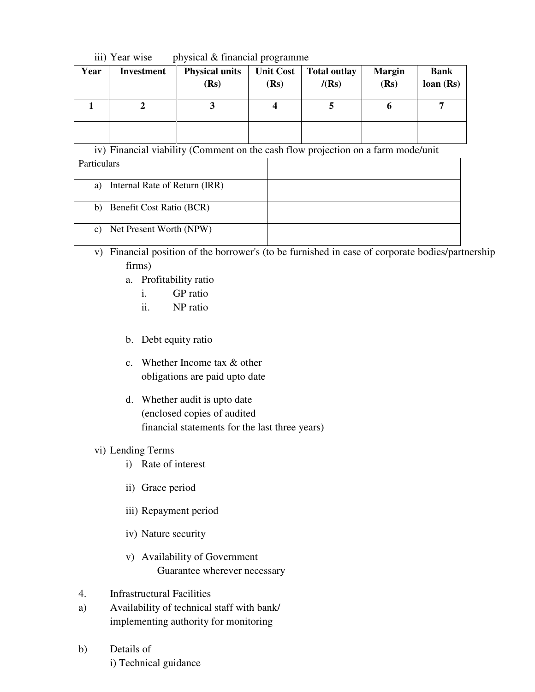#### iii) Year wise physical & financial programme

| Year | <b>Investment</b> | <b>Physical units</b><br>(Rs) | <b>Unit Cost</b><br>(Rs) | <b>Total outlay</b><br>/(Rs) | <b>Margin</b><br>(Rs) | <b>Bank</b><br>loan(Rs) |
|------|-------------------|-------------------------------|--------------------------|------------------------------|-----------------------|-------------------------|
|      |                   |                               |                          |                              | v                     |                         |
|      |                   |                               |                          |                              |                       |                         |

iv) Financial viability (Comment on the cash flow projection on a farm mode/unit

| Particulars                         |  |
|-------------------------------------|--|
| Internal Rate of Return (IRR)<br>a) |  |
| b) Benefit Cost Ratio (BCR)         |  |
| c) Net Present Worth (NPW)          |  |

v) Financial position of the borrower's (to be furnished in case of corporate bodies/partnership firms)

- a. Profitability ratio
	- i. GP ratio
	- ii. NP ratio
- b. Debt equity ratio
- c. Whether Income tax & other obligations are paid upto date
- d. Whether audit is upto date (enclosed copies of audited financial statements for the last three years)

#### vi) Lending Terms

- i) Rate of interest
- ii) Grace period
- iii) Repayment period
- iv) Nature security
- v) Availability of Government Guarantee wherever necessary
- 4. Infrastructural Facilities
- a) Availability of technical staff with bank/ implementing authority for monitoring
- b) Details of i) Technical guidance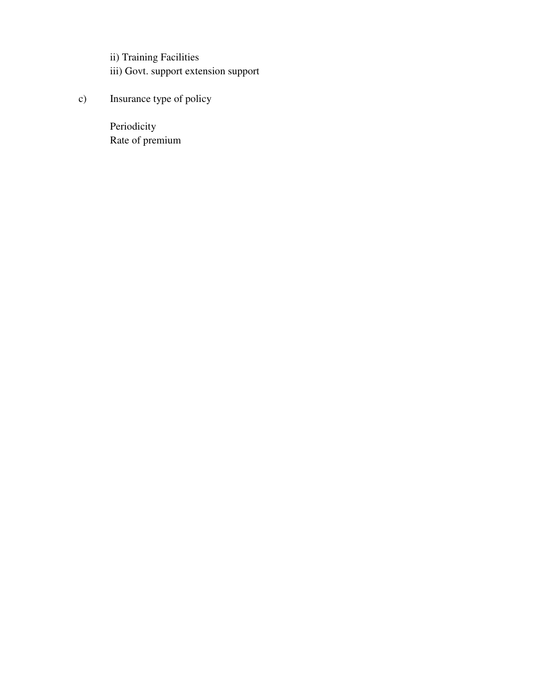ii) Training Facilities iii) Govt. support extension support

c) Insurance type of policy

 Periodicity Rate of premium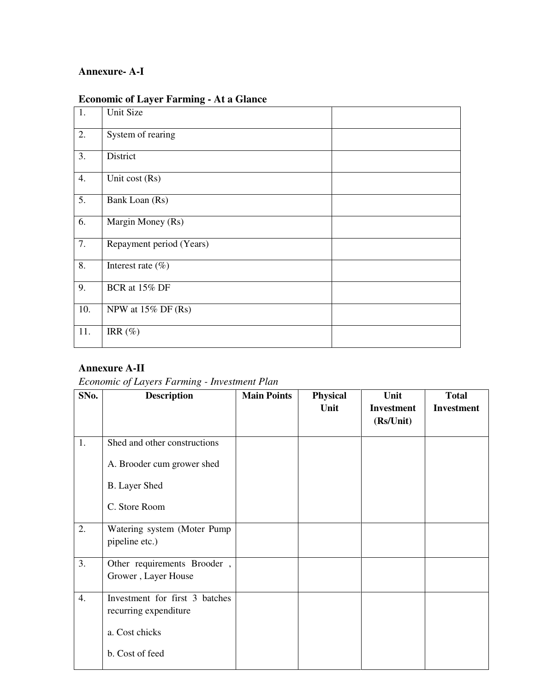# **Annexure- A-I**

| 1.               | Unit Size                |  |
|------------------|--------------------------|--|
| 2.               | System of rearing        |  |
| 3.               | District                 |  |
| 4.               | Unit cost (Rs)           |  |
| $\overline{5}$ . | Bank Loan (Rs)           |  |
| 6.               | Margin Money (Rs)        |  |
| 7.               | Repayment period (Years) |  |
| 8.               | Interest rate $(\% )$    |  |
| 9.               | BCR at 15% DF            |  |
| 10.              | NPW at $15\%$ DF (Rs)    |  |
| 11.              | IRR $(\%)$               |  |

### **Annexure A-II**

*Economic of Layers Farming - Investment Plan* 

| SNo. | <b>Description</b>                                      | <b>Main Points</b> | <b>Physical</b> | Unit                           | <b>Total</b>      |
|------|---------------------------------------------------------|--------------------|-----------------|--------------------------------|-------------------|
|      |                                                         |                    | Unit            | <b>Investment</b><br>(Rs/Unit) | <b>Investment</b> |
| 1.   | Shed and other constructions                            |                    |                 |                                |                   |
|      | A. Brooder cum grower shed                              |                    |                 |                                |                   |
|      | <b>B.</b> Layer Shed                                    |                    |                 |                                |                   |
|      | C. Store Room                                           |                    |                 |                                |                   |
| 2.   | Watering system (Moter Pump<br>pipeline etc.)           |                    |                 |                                |                   |
| 3.   | Other requirements Brooder,<br>Grower, Layer House      |                    |                 |                                |                   |
| 4.   | Investment for first 3 batches<br>recurring expenditure |                    |                 |                                |                   |
|      | a. Cost chicks                                          |                    |                 |                                |                   |
|      | b. Cost of feed                                         |                    |                 |                                |                   |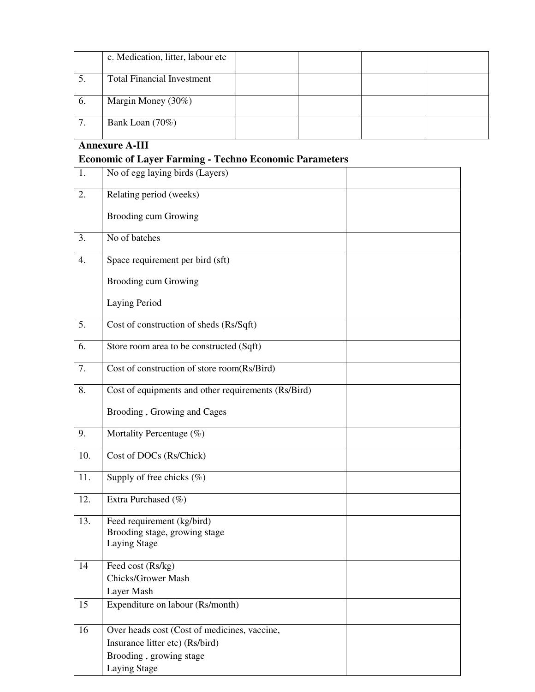|     | c. Medication, litter, labour etc |  |  |
|-----|-----------------------------------|--|--|
| C.  | <b>Total Financial Investment</b> |  |  |
| -6. | Margin Money (30%)                |  |  |
| ⇁   | Bank Loan $(70\%)$                |  |  |

# **Annexure A-III**

# **Economic of Layer Farming - Techno Economic Parameters**

| 1.  | No of egg laying birds (Layers)                                                                                            |  |
|-----|----------------------------------------------------------------------------------------------------------------------------|--|
| 2.  | Relating period (weeks)                                                                                                    |  |
|     | <b>Brooding cum Growing</b>                                                                                                |  |
| 3.  | No of batches                                                                                                              |  |
| 4.  | Space requirement per bird (sft)                                                                                           |  |
|     | Brooding cum Growing                                                                                                       |  |
|     | Laying Period                                                                                                              |  |
| 5.  | Cost of construction of sheds (Rs/Sqft)                                                                                    |  |
| 6.  | Store room area to be constructed (Sqft)                                                                                   |  |
| 7.  | Cost of construction of store room(Rs/Bird)                                                                                |  |
| 8.  | Cost of equipments and other requirements (Rs/Bird)                                                                        |  |
|     | Brooding, Growing and Cages                                                                                                |  |
| 9.  | Mortality Percentage (%)                                                                                                   |  |
| 10. | Cost of DOCs (Rs/Chick)                                                                                                    |  |
| 11. | Supply of free chicks $(\%)$                                                                                               |  |
| 12. | Extra Purchased (%)                                                                                                        |  |
| 13. | Feed requirement (kg/bird)<br>Brooding stage, growing stage<br><b>Laying Stage</b>                                         |  |
| 14  | Feed cost (Rs/kg)<br><b>Chicks/Grower Mash</b><br>Layer Mash                                                               |  |
| 15  | Expenditure on labour (Rs/month)                                                                                           |  |
| 16  | Over heads cost (Cost of medicines, vaccine,<br>Insurance litter etc) (Rs/bird)<br>Brooding, growing stage<br>Laying Stage |  |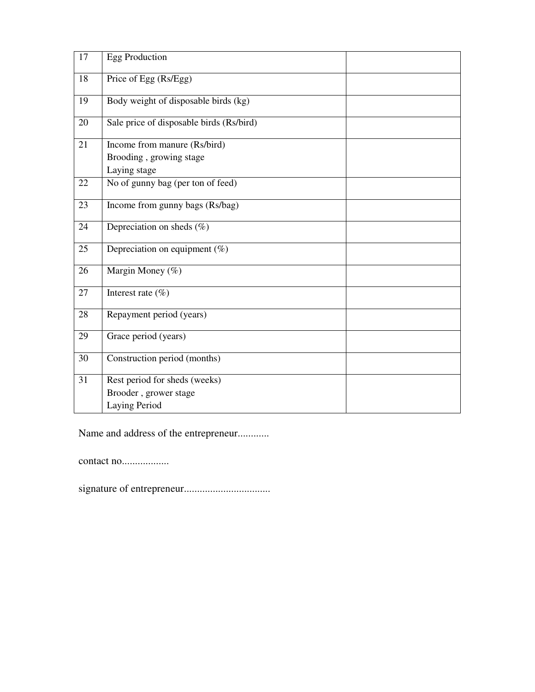| 17 | <b>Egg Production</b>                    |
|----|------------------------------------------|
| 18 | Price of Egg (Rs/Egg)                    |
| 19 | Body weight of disposable birds (kg)     |
| 20 | Sale price of disposable birds (Rs/bird) |
| 21 | Income from manure (Rs/bird)             |
|    | Brooding, growing stage                  |
|    | Laying stage                             |
| 22 | No of gunny bag (per ton of feed)        |
| 23 | Income from gunny bags (Rs/bag)          |
| 24 | Depreciation on sheds $(\%)$             |
| 25 | Depreciation on equipment $(\%)$         |
| 26 | Margin Money (%)                         |
| 27 | Interest rate $(\% )$                    |
| 28 | Repayment period (years)                 |
| 29 | Grace period (years)                     |
| 30 | Construction period (months)             |
| 31 | Rest period for sheds (weeks)            |
|    | Brooder, grower stage                    |
|    | Laying Period                            |

Name and address of the entrepreneur............

contact no..................

signature of entrepreneur.................................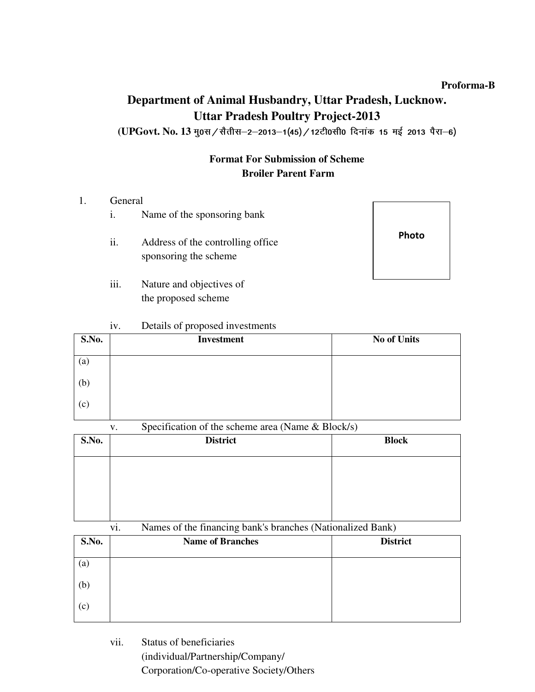#### **Proforma-B**

# **Department of Animal Husbandry, Uttar Pradesh, Lucknow. Uttar Pradesh Poultry Project-2013**

(UPGovt. No. 13 मु0स / सैतीस-2-2013-1(45) / 12टी0सी0 दिनांक 15 मई 2013 पैरा-6)

# **Format For Submission of Scheme Broiler Parent Farm**

#### 1. General

- i. Name of the sponsoring bank
- ii. Address of the controlling office sponsoring the scheme
- iii. Nature and objectives of the proposed scheme



#### iv. Details of proposed investments

| S.No.             | Investment | <b>No of Units</b> |
|-------------------|------------|--------------------|
| $\left( a\right)$ |            |                    |
| (b)               |            |                    |
| (c)               |            |                    |

v. Specification of the scheme area (Name & Block/s)

| S.No. | <b>District</b> | <b>Block</b> |
|-------|-----------------|--------------|
|       |                 |              |
|       |                 |              |
|       |                 |              |

| Names of the financing bank's branches (Nationalized Bank) |  |
|------------------------------------------------------------|--|
|------------------------------------------------------------|--|

| S.No.             | <b>Name of Branches</b> | <b>District</b> |
|-------------------|-------------------------|-----------------|
| $\left( a\right)$ |                         |                 |
| (b)               |                         |                 |
| (c)               |                         |                 |

 vii. Status of beneficiaries (individual/Partnership/Company/ Corporation/Co-operative Society/Others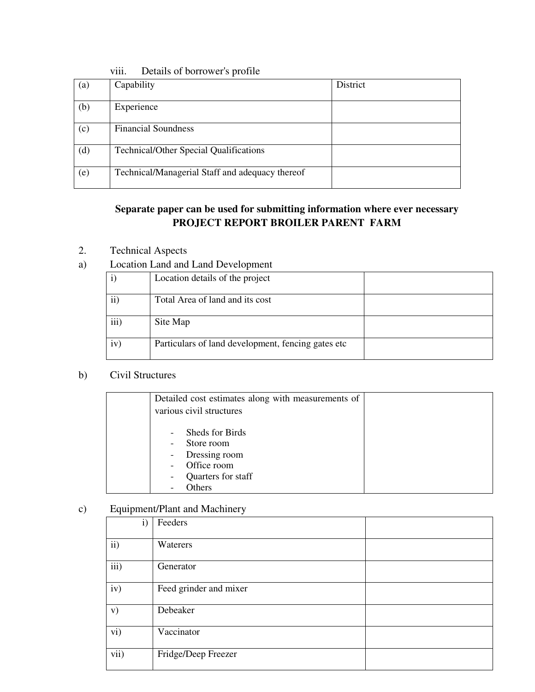|     | VIII.<br>Details of bottowers profile           |          |
|-----|-------------------------------------------------|----------|
| (a) | Capability                                      | District |
| (b) | Experience                                      |          |
| (c) | <b>Financial Soundness</b>                      |          |
| (d) | <b>Technical/Other Special Qualifications</b>   |          |
| (e) | Technical/Managerial Staff and adequacy thereof |          |

### viii. Details of borrower's profile

# **Separate paper can be used for submitting information where ever necessary PROJECT REPORT BROILER PARENT FARM**

- 2. Technical Aspects
- a) Location Land and Land Development

|           | Location details of the project                    |  |
|-----------|----------------------------------------------------|--|
| $\rm ii)$ | Total Area of land and its cost                    |  |
| iii)      | Site Map                                           |  |
| iv)       | Particulars of land development, fencing gates etc |  |

### b) Civil Structures

| Detailed cost estimates along with measurements of                                                                              |
|---------------------------------------------------------------------------------------------------------------------------------|
| various civil structures                                                                                                        |
| Sheds for Birds<br>-<br>Store room<br>$\overline{\phantom{a}}$<br>Dressing room<br>$\overline{\phantom{a}}$<br>Office room<br>- |
| Quarters for staff<br>-                                                                                                         |
| Others                                                                                                                          |

### c) Equipment/Plant and Machinery

| $\mathbf{1}$ $\mathbf{1}$ | ັ                      |  |
|---------------------------|------------------------|--|
| $\mathbf{i})$             | Feeders                |  |
| ii)                       | Waterers               |  |
| iii)                      | Generator              |  |
| iv)                       | Feed grinder and mixer |  |
| V)                        | Debeaker               |  |
| vi)                       | Vaccinator             |  |
| vii)                      | Fridge/Deep Freezer    |  |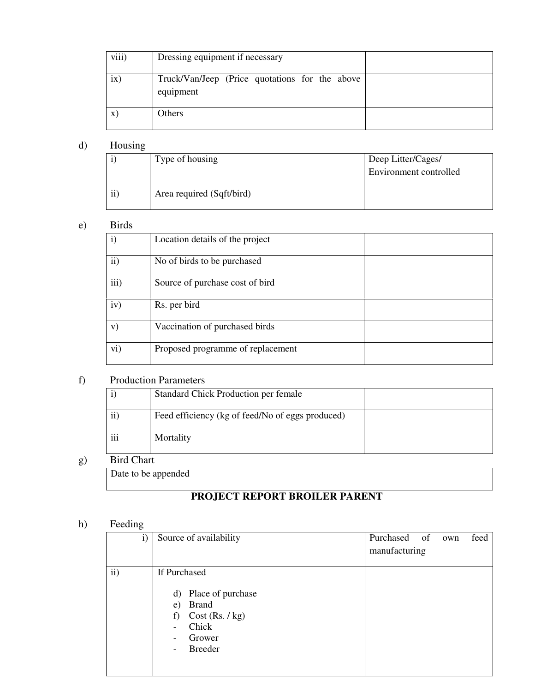| viii) | Dressing equipment if necessary                             |  |
|-------|-------------------------------------------------------------|--|
| ix)   | Truck/Van/Jeep (Price quotations for the above<br>equipment |  |
|       | Others                                                      |  |

### d) Housing

|    | Type of housing           | Deep Litter/Cages/     |
|----|---------------------------|------------------------|
|    |                           | Environment controlled |
|    |                           |                        |
| ii | Area required (Sqft/bird) |                        |

#### e) Birds

| $\mathbf{i}$  | Location details of the project   |  |
|---------------|-----------------------------------|--|
| $\mathbf{ii}$ | No of birds to be purchased       |  |
| iii)          | Source of purchase cost of bird   |  |
| iv)           | Rs. per bird                      |  |
| V)            | Vaccination of purchased birds    |  |
| vi)           | Proposed programme of replacement |  |

### f) Production Parameters

|                     | Standard Chick Production per female             |  |  |  |
|---------------------|--------------------------------------------------|--|--|--|
| $\ddot{\mathbf{i}}$ | Feed efficiency (kg of feed/No of eggs produced) |  |  |  |
| $\cdots$<br>111     | Mortality                                        |  |  |  |

# g) Bird Chart

Date to be appended

# **PROJECT REPORT BROILER PARENT**

### h) Feeding

| $\mathbf{i}$ | Source of availability                                                                                                                                            | Purchased of<br>feed<br>own<br>manufacturing |
|--------------|-------------------------------------------------------------------------------------------------------------------------------------------------------------------|----------------------------------------------|
| ii)          | If Purchased<br>Place of purchase<br>d)<br><b>Brand</b><br>e)<br>Cost (Rs. / kg)<br>f)<br>Chick<br>-<br>Grower<br>$\overline{\phantom{a}}$<br><b>Breeder</b><br>- |                                              |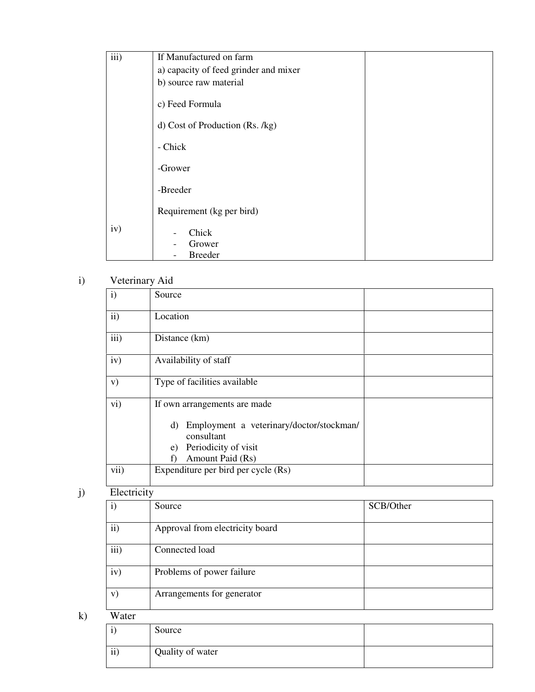| iii) | If Manufactured on farm               |  |  |  |
|------|---------------------------------------|--|--|--|
|      | a) capacity of feed grinder and mixer |  |  |  |
|      | b) source raw material                |  |  |  |
|      | c) Feed Formula                       |  |  |  |
|      | d) Cost of Production (Rs. /kg)       |  |  |  |
|      | - Chick                               |  |  |  |
|      | -Grower                               |  |  |  |
|      | -Breeder                              |  |  |  |
|      | Requirement (kg per bird)             |  |  |  |
| iv)  | Chick                                 |  |  |  |
|      | Grower                                |  |  |  |
|      | <b>Breeder</b>                        |  |  |  |

# i) Veterinary Aid

| $\mathbf{i}$  | Source                                                                                                                                               |  |  |  |
|---------------|------------------------------------------------------------------------------------------------------------------------------------------------------|--|--|--|
| $\mathbf{ii}$ | Location                                                                                                                                             |  |  |  |
| iii)          | Distance (km)                                                                                                                                        |  |  |  |
| iv)           | Availability of staff                                                                                                                                |  |  |  |
| V)            | Type of facilities available                                                                                                                         |  |  |  |
| $\rm vi)$     | If own arrangements are made<br>Employment a veterinary/doctor/stockman/<br>d)<br>consultant<br>Periodicity of visit<br>e)<br>Amount Paid (Rs)<br>f) |  |  |  |
| vii)          | Expenditure per bird per cycle (Rs)                                                                                                                  |  |  |  |

# j) Electricity

| $\mathbf{i})$ | Source                          | SCB/Other |
|---------------|---------------------------------|-----------|
| $\rm ii)$     | Approval from electricity board |           |
| iii)          | Connected load                  |           |
| iv)           | Problems of power failure       |           |
| V)            | Arrangements for generator      |           |

k) Water

| л.              | Source           |  |
|-----------------|------------------|--|
| $\cdot$ .<br>11 | Quality of water |  |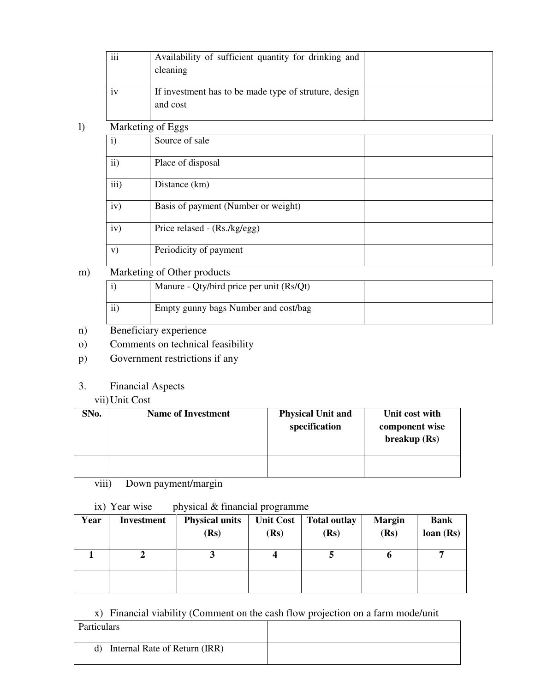|                                            | Availability of sufficient quantity for drinking and |                                                       |  |
|--------------------------------------------|------------------------------------------------------|-------------------------------------------------------|--|
|                                            |                                                      | cleaning                                              |  |
|                                            |                                                      |                                                       |  |
|                                            | iv                                                   | If investment has to be made type of struture, design |  |
|                                            |                                                      | and cost                                              |  |
|                                            |                                                      |                                                       |  |
| $_{\rm l)}$                                |                                                      | Marketing of Eggs                                     |  |
| Source of sale<br>$\mathbf{i}$             |                                                      |                                                       |  |
|                                            |                                                      |                                                       |  |
| $\overline{ii}$ )<br>Place of disposal     |                                                      |                                                       |  |
|                                            | iii)                                                 | Distance (km)                                         |  |
|                                            |                                                      |                                                       |  |
| iv)<br>Basis of payment (Number or weight) |                                                      |                                                       |  |
|                                            |                                                      |                                                       |  |
| iv)<br>Price relased - (Rs./kg/egg)        |                                                      |                                                       |  |
|                                            |                                                      |                                                       |  |
|                                            | V)                                                   | Periodicity of payment                                |  |
|                                            |                                                      |                                                       |  |

# m) Marketing of Other products

|                | Manure - Qty/bird price per unit (Rs/Qt) |  |
|----------------|------------------------------------------|--|
| $\cdots$<br>11 | Empty gunny bags Number and cost/bag     |  |

- n) Beneficiary experience
- o) Comments on technical feasibility
- p) Government restrictions if any
- 3. Financial Aspects

#### vii)Unit Cost

| SNo. | <b>Name of Investment</b> | <b>Physical Unit and</b><br>specification | Unit cost with<br>component wise<br>breakup(Rs) |
|------|---------------------------|-------------------------------------------|-------------------------------------------------|
|      |                           |                                           |                                                 |

viii) Down payment/margin

ix) Year wise physical  $&$  financial programme

| Year | Investment | <b>Physical units</b><br>(Rs) | (Rs) | Unit Cost   Total outlay<br>(Rs) | <b>Margin</b><br>(Rs) | <b>Bank</b><br>loan(Rs) |
|------|------------|-------------------------------|------|----------------------------------|-----------------------|-------------------------|
|      |            |                               |      |                                  | o                     | −                       |
|      |            |                               |      |                                  |                       |                         |

### x) Financial viability (Comment on the cash flow projection on a farm mode/unit

| Particulars                         |  |
|-------------------------------------|--|
| Internal Rate of Return (IRR)<br>d) |  |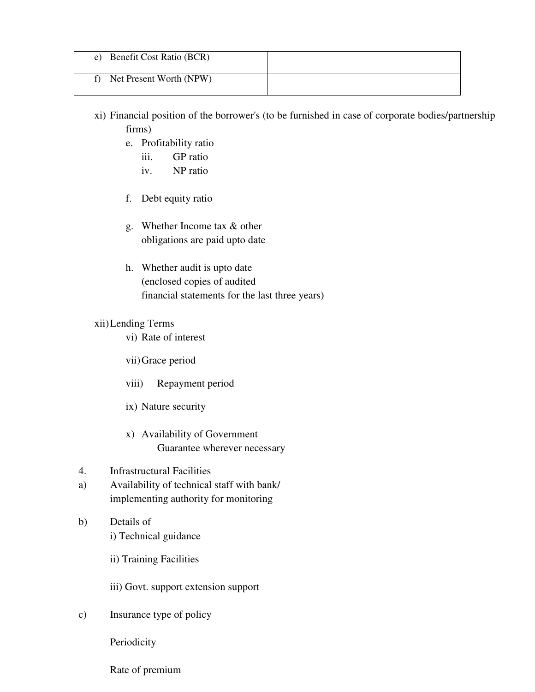| e) Benefit Cost Ratio (BCR) |  |
|-----------------------------|--|
| Net Present Worth (NPW)     |  |

- xi) Financial position of the borrower's (to be furnished in case of corporate bodies/partnership firms)
	- e. Profitability ratio
		- iii. GP ratio
		- iv. NP ratio
	- f. Debt equity ratio
	- g. Whether Income tax & other obligations are paid upto date
	- h. Whether audit is upto date (enclosed copies of audited financial statements for the last three years)

#### xii)Lending Terms

vi) Rate of interest

vii)Grace period

- viii) Repayment period
- ix) Nature security
- x) Availability of Government Guarantee wherever necessary
- 4. Infrastructural Facilities
- a) Availability of technical staff with bank/ implementing authority for monitoring
- b) Details of i) Technical guidance
	- ii) Training Facilities
	- iii) Govt. support extension support
- c) Insurance type of policy

Periodicity

Rate of premium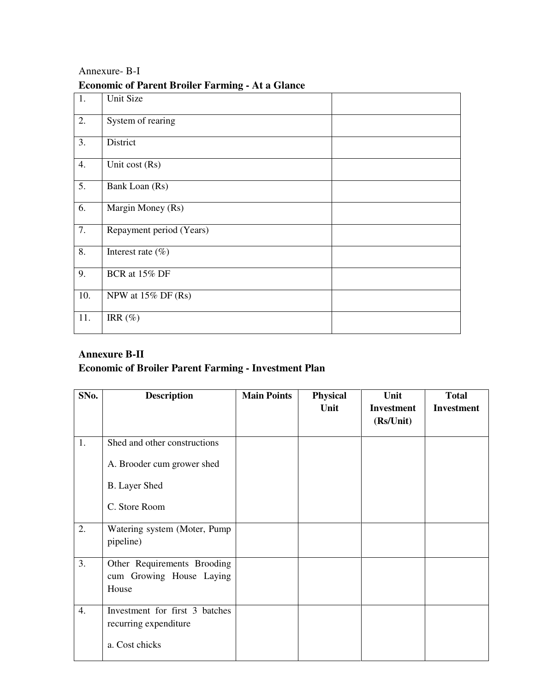| 1.  | ັ<br>Unit Size           |  |
|-----|--------------------------|--|
| 2.  | System of rearing        |  |
| 3.  | District                 |  |
| 4.  | Unit cost (Rs)           |  |
| 5.  | Bank Loan (Rs)           |  |
| 6.  | Margin Money (Rs)        |  |
| 7.  | Repayment period (Years) |  |
| 8.  | Interest rate $(\% )$    |  |
| 9.  | BCR at 15% DF            |  |
| 10. | NPW at $15\%$ DF (Rs)    |  |
| 11. | IRR $(\%)$               |  |

# Annexure- B-I **Economic of Parent Broiler Farming - At a Glance**

# **Annexure B-II**

# **Economic of Broiler Parent Farming - Investment Plan**

| SNo. | <b>Description</b>                                               | <b>Main Points</b> | <b>Physical</b> | Unit                           | <b>Total</b>      |
|------|------------------------------------------------------------------|--------------------|-----------------|--------------------------------|-------------------|
|      |                                                                  |                    | Unit            | <b>Investment</b><br>(Rs/Unit) | <b>Investment</b> |
| 1.   | Shed and other constructions                                     |                    |                 |                                |                   |
|      | A. Brooder cum grower shed                                       |                    |                 |                                |                   |
|      | <b>B.</b> Layer Shed                                             |                    |                 |                                |                   |
|      | C. Store Room                                                    |                    |                 |                                |                   |
| 2.   | Watering system (Moter, Pump)<br>pipeline)                       |                    |                 |                                |                   |
| 3.   | Other Requirements Brooding<br>cum Growing House Laying<br>House |                    |                 |                                |                   |
| 4.   | Investment for first 3 batches<br>recurring expenditure          |                    |                 |                                |                   |
|      | a. Cost chicks                                                   |                    |                 |                                |                   |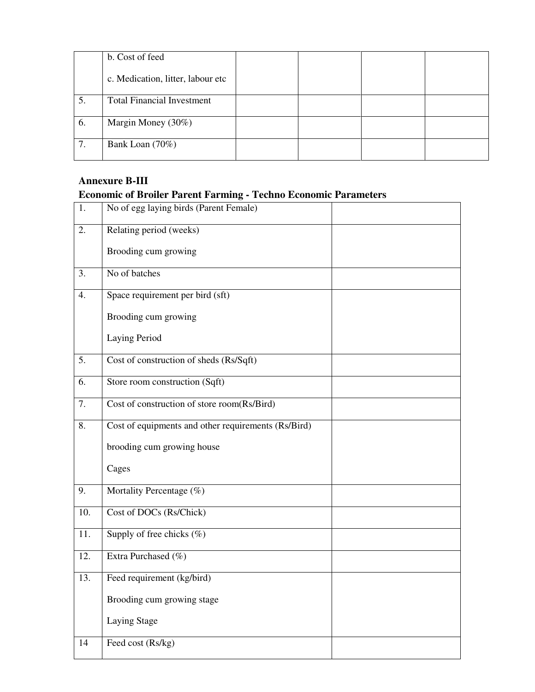|    | b. Cost of feed                   |  |  |
|----|-----------------------------------|--|--|
|    | c. Medication, litter, labour etc |  |  |
| 5. | <b>Total Financial Investment</b> |  |  |
| 6. | Margin Money (30%)                |  |  |
| 7. | Bank Loan (70%)                   |  |  |

# **Annexure B-III Economic of Broiler Parent Farming - Techno Economic Parameters**

| 1.               | No of egg laying birds (Parent Female)              |  |
|------------------|-----------------------------------------------------|--|
| 2.               | Relating period (weeks)                             |  |
|                  | Brooding cum growing                                |  |
| $\overline{3}$ . | No of batches                                       |  |
| 4.               | Space requirement per bird (sft)                    |  |
|                  | Brooding cum growing                                |  |
|                  | Laying Period                                       |  |
| $\overline{5}$ . | Cost of construction of sheds (Rs/Sqft)             |  |
| 6.               | Store room construction (Sqft)                      |  |
| 7.               | Cost of construction of store room(Rs/Bird)         |  |
| 8.               | Cost of equipments and other requirements (Rs/Bird) |  |
|                  | brooding cum growing house                          |  |
|                  | Cages                                               |  |
| 9.               | Mortality Percentage (%)                            |  |
| 10.              | Cost of DOCs (Rs/Chick)                             |  |
| 11.              | Supply of free chicks $(\%)$                        |  |
| 12.              | Extra Purchased (%)                                 |  |
| 13.              | Feed requirement (kg/bird)                          |  |
|                  | Brooding cum growing stage                          |  |
|                  | Laying Stage                                        |  |
| 14               | Feed cost (Rs/kg)                                   |  |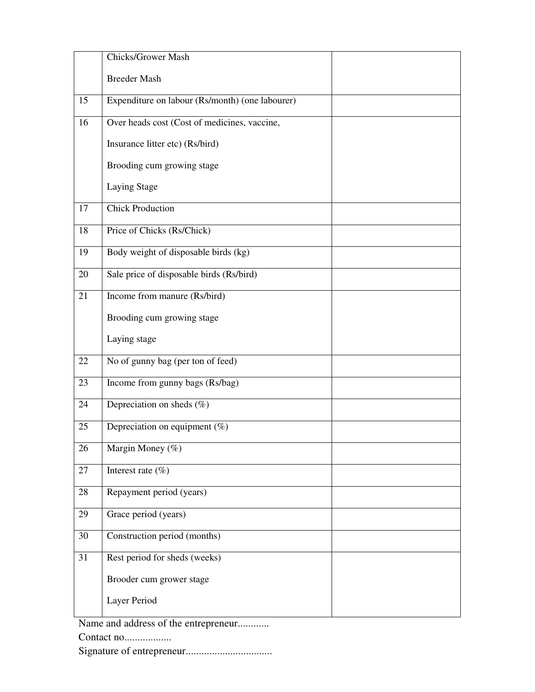|    | <b>Chicks/Grower Mash</b>                       |  |
|----|-------------------------------------------------|--|
|    | <b>Breeder Mash</b>                             |  |
| 15 | Expenditure on labour (Rs/month) (one labourer) |  |
| 16 | Over heads cost (Cost of medicines, vaccine,    |  |
|    | Insurance litter etc) (Rs/bird)                 |  |
|    | Brooding cum growing stage                      |  |
|    | Laying Stage                                    |  |
| 17 | <b>Chick Production</b>                         |  |
| 18 | Price of Chicks (Rs/Chick)                      |  |
| 19 | Body weight of disposable birds (kg)            |  |
| 20 | Sale price of disposable birds (Rs/bird)        |  |
| 21 | Income from manure (Rs/bird)                    |  |
|    | Brooding cum growing stage                      |  |
|    | Laying stage                                    |  |
| 22 | No of gunny bag (per ton of feed)               |  |
| 23 | Income from gunny bags (Rs/bag)                 |  |
| 24 | Depreciation on sheds $(\%)$                    |  |
| 25 | Depreciation on equipment $(\%)$                |  |
| 26 | Margin Money (%)                                |  |
| 27 | Interest rate $(\% )$                           |  |
| 28 | Repayment period (years)                        |  |
| 29 | Grace period (years)                            |  |
| 30 | Construction period (months)                    |  |
| 31 | Rest period for sheds (weeks)                   |  |
|    | Brooder cum grower stage                        |  |
|    | Layer Period                                    |  |

Name and address of the entrepreneur............

Contact no..................

Signature of entrepreneur.................................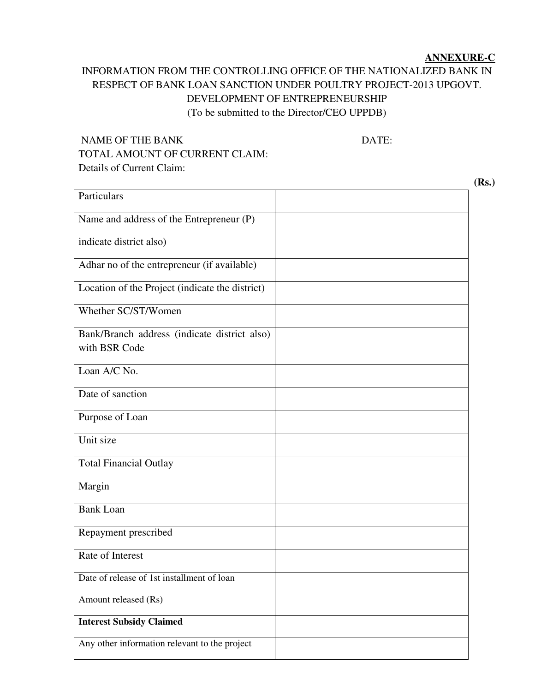#### **ANNEXURE-C**

# INFORMATION FROM THE CONTROLLING OFFICE OF THE NATIONALIZED BANK IN RESPECT OF BANK LOAN SANCTION UNDER POULTRY PROJECT-2013 UPGOVT. DEVELOPMENT OF ENTREPRENEURSHIP (To be submitted to the Director/CEO UPPDB)

# NAME OF THE BANK DATE: TOTAL AMOUNT OF CURRENT CLAIM: Details of Current Claim:

**Particulars** Name and address of the Entrepreneur (P) indicate district also) Adhar no of the entrepreneur (if available) Location of the Project (indicate the district) Whether SC/ST/Women Bank/Branch address (indicate district also) with BSR Code Loan A/C No. Date of sanction Purpose of Loan Unit size Total Financial Outlay Margin Bank Loan Repayment prescribed Rate of Interest Date of release of 1st installment of loan Amount released (Rs) **Interest Subsidy Claimed**  Any other information relevant to the project

**(Rs.)**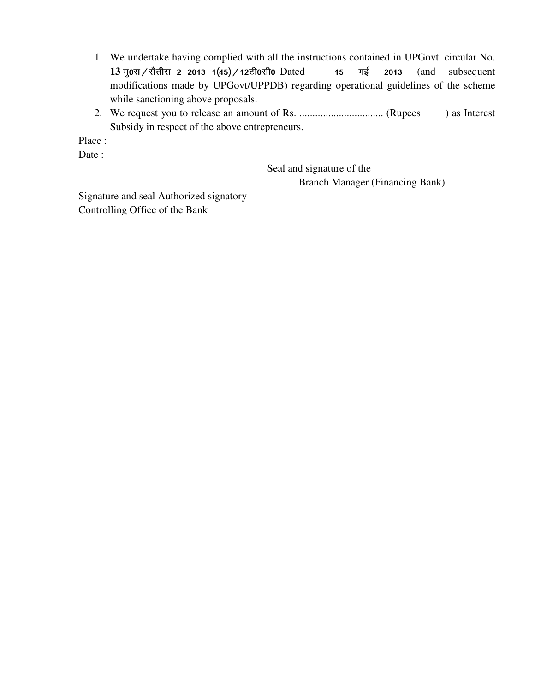- 1. We undertake having complied with all the instructions contained in UPGovt. circular No. 13 मु०स / सैतीस-2-2013-1(45) / 12टी०सी० Dated 15 मई 2013 (and subsequent modifications made by UPGovt/UPPDB) regarding operational guidelines of the scheme while sanctioning above proposals.
- 2. We request you to release an amount of Rs. ................................ (Rupees ) as Interest Subsidy in respect of the above entrepreneurs.

Place :

Date :

 Seal and signature of the Branch Manager (Financing Bank)

Signature and seal Authorized signatory Controlling Office of the Bank